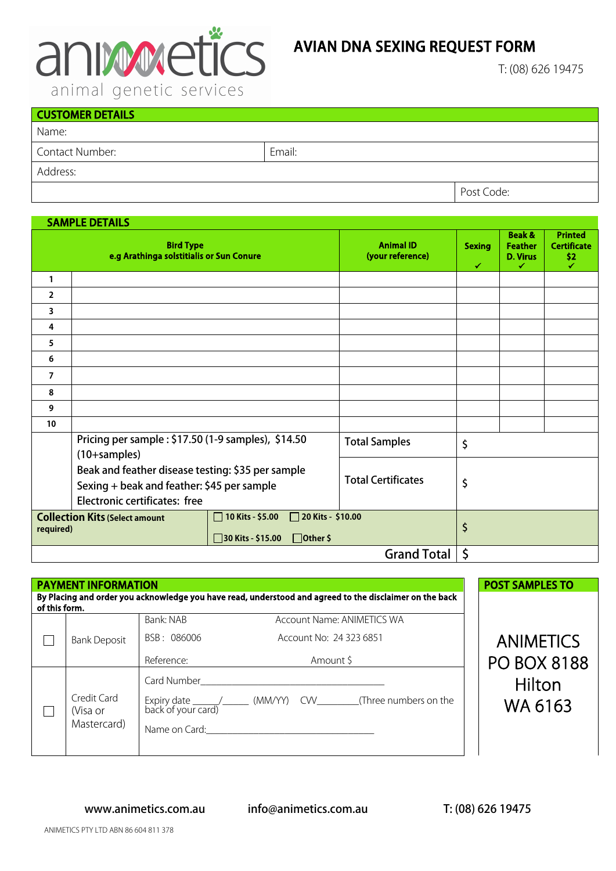

## AVIAN DNA SEXING REQUEST FORM

T: (08) 626 19475

| $\overline{\phantom{0}}$ |        |            |  |  |
|--------------------------|--------|------------|--|--|
| <b>CUSTOMER DETAILS</b>  |        |            |  |  |
| Name:                    |        |            |  |  |
| Contact Number:          | Email: |            |  |  |
| Address:                 |        |            |  |  |
|                          |        | Post Code: |  |  |

## SAMPLE DETAILS

|                                                                                                                                                   | <b>Bird Type</b><br>e.g Arathinga solstitialis or Sun Conure                                                                                                            |    | <b>Animal ID</b><br>(your reference) | <b>Sexing</b><br>✔ | <b>Beak &amp;</b><br><b>Feather</b><br><b>D. Virus</b><br>✔ | <b>Printed</b><br><b>Certificate</b><br>\$2<br>✓ |
|---------------------------------------------------------------------------------------------------------------------------------------------------|-------------------------------------------------------------------------------------------------------------------------------------------------------------------------|----|--------------------------------------|--------------------|-------------------------------------------------------------|--------------------------------------------------|
| 1                                                                                                                                                 |                                                                                                                                                                         |    |                                      |                    |                                                             |                                                  |
| $\overline{2}$                                                                                                                                    |                                                                                                                                                                         |    |                                      |                    |                                                             |                                                  |
| 3                                                                                                                                                 |                                                                                                                                                                         |    |                                      |                    |                                                             |                                                  |
| 4                                                                                                                                                 |                                                                                                                                                                         |    |                                      |                    |                                                             |                                                  |
| 5                                                                                                                                                 |                                                                                                                                                                         |    |                                      |                    |                                                             |                                                  |
| 6                                                                                                                                                 |                                                                                                                                                                         |    |                                      |                    |                                                             |                                                  |
| $\overline{7}$                                                                                                                                    |                                                                                                                                                                         |    |                                      |                    |                                                             |                                                  |
| 8                                                                                                                                                 |                                                                                                                                                                         |    |                                      |                    |                                                             |                                                  |
| 9                                                                                                                                                 |                                                                                                                                                                         |    |                                      |                    |                                                             |                                                  |
| 10                                                                                                                                                |                                                                                                                                                                         |    |                                      |                    |                                                             |                                                  |
|                                                                                                                                                   | Pricing per sample: \$17.50 (1-9 samples), \$14.50<br>$(10+samples)$<br>Beak and feather disease testing: \$35 per sample<br>Sexing + beak and feather: \$45 per sample |    | <b>Total Samples</b>                 | \$                 |                                                             |                                                  |
|                                                                                                                                                   |                                                                                                                                                                         |    | <b>Total Certificates</b>            | \$                 |                                                             |                                                  |
|                                                                                                                                                   |                                                                                                                                                                         |    |                                      |                    |                                                             |                                                  |
|                                                                                                                                                   |                                                                                                                                                                         |    |                                      |                    |                                                             |                                                  |
|                                                                                                                                                   | Electronic certificates: free                                                                                                                                           |    |                                      |                    |                                                             |                                                  |
| <b>Collection Kits (Select amount</b><br>□ 20 Kits - \$10.00<br>10 Kits - \$5.00<br><b>I</b><br>required)<br>30 Kits - \$15.00<br>$\Box$ Other \$ |                                                                                                                                                                         | \$ |                                      |                    |                                                             |                                                  |
| <b>Grand Total</b>                                                                                                                                |                                                                                                                                                                         |    |                                      | \$                 |                                                             |                                                  |

|               | <b>PAYMENT INFORMATION</b>             |                                        | By Placing and order you acknowledge you have read, understood and agreed to the disclaimer on the back | <b>POST SAMPLES TO</b>                 |  |
|---------------|----------------------------------------|----------------------------------------|---------------------------------------------------------------------------------------------------------|----------------------------------------|--|
| of this form. | <b>Bank Deposit</b>                    | Bank: NAB<br>BSB: 086006<br>Reference: | Account Name: ANIMETICS WA<br>Account No: 24 323 6851<br>Amount \$                                      | <b>ANIMETICS</b><br><b>PO BOX 8188</b> |  |
|               | Credit Card<br>(Visa or<br>Mastercard) |                                        | Card Number <b>Card Structure Card Number</b><br>Name on Card: Name on Card:                            | Hilton<br>WA 6163                      |  |